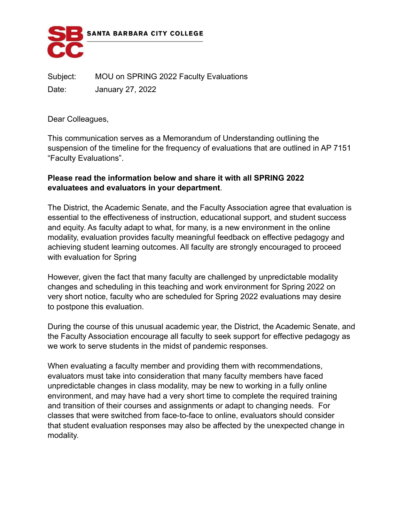

Subject: MOU on SPRING 2022 Faculty Evaluations Date: January 27, 2022

Dear Colleagues,

This communication serves as a Memorandum of Understanding outlining the suspension of the timeline for the frequency of evaluations that are outlined in AP 7151 "Faculty Evaluations".

## **Please read the information below and share it with all SPRING 2022 evaluatees and evaluators in your department**.

The District, the Academic Senate, and the Faculty Association agree that evaluation is essential to the effectiveness of instruction, educational support, and student success and equity. As faculty adapt to what, for many, is a new environment in the online modality, evaluation provides faculty meaningful feedback on effective pedagogy and achieving student learning outcomes. All faculty are strongly encouraged to proceed with evaluation for Spring

However, given the fact that many faculty are challenged by unpredictable modality changes and scheduling in this teaching and work environment for Spring 2022 on very short notice, faculty who are scheduled for Spring 2022 evaluations may desire to postpone this evaluation.

During the course of this unusual academic year, the District, the Academic Senate, and the Faculty Association encourage all faculty to seek support for effective pedagogy as we work to serve students in the midst of pandemic responses.

When evaluating a faculty member and providing them with recommendations, evaluators must take into consideration that many faculty members have faced unpredictable changes in class modality, may be new to working in a fully online environment, and may have had a very short time to complete the required training and transition of their courses and assignments or adapt to changing needs. For classes that were switched from face-to-face to online, evaluators should consider that student evaluation responses may also be affected by the unexpected change in modality.